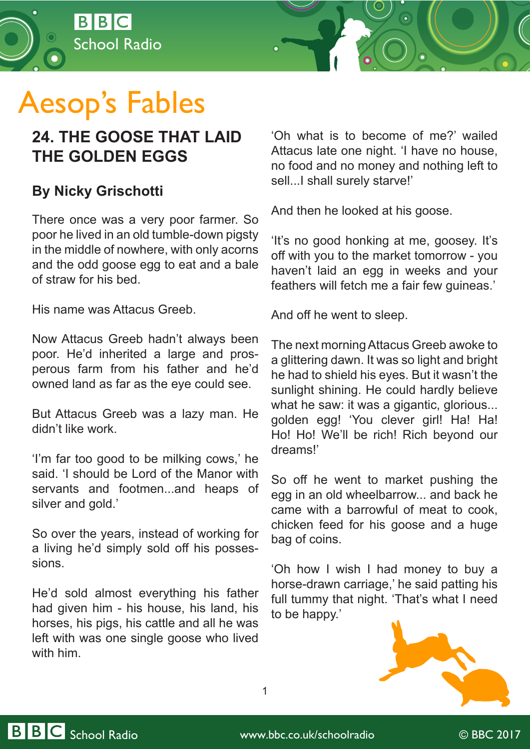

## Aesop's Fables

## **24. THE GOOSE THAT LAID THE GOLDEN EGGS**

## **By Nicky Grischotti**

There once was a very poor farmer. So poor he lived in an old tumble-down pigsty in the middle of nowhere, with only acorns and the odd goose egg to eat and a bale of straw for his bed.

His name was Attacus Greeb.

Now Attacus Greeb hadn't always been poor. He'd inherited a large and prosperous farm from his father and he'd owned land as far as the eye could see.

But Attacus Greeb was a lazy man. He didn't like work.

'I'm far too good to be milking cows,' he said. 'I should be Lord of the Manor with servants and footmen...and heaps of silver and gold.'

So over the years, instead of working for a living he'd simply sold off his possessions.

He'd sold almost everything his father had given him - his house, his land, his horses, his pigs, his cattle and all he was left with was one single goose who lived with him.

'Oh what is to become of me?' wailed Attacus late one night. 'I have no house, no food and no money and nothing left to sell...I shall surely starve!'

And then he looked at his goose.

'It's no good honking at me, goosey. It's off with you to the market tomorrow - you haven't laid an egg in weeks and your feathers will fetch me a fair few guineas.'

And off he went to sleep.

The next morning Attacus Greeb awoke to a glittering dawn. It was so light and bright he had to shield his eyes. But it wasn't the sunlight shining. He could hardly believe what he saw: it was a gigantic, glorious... golden egg! 'You clever girl! Ha! Ha! Ho! Ho! We'll be rich! Rich beyond our dreams!'

So off he went to market pushing the egg in an old wheelbarrow... and back he came with a barrowful of meat to cook, chicken feed for his goose and a huge bag of coins.

'Oh how I wish I had money to buy a horse-drawn carriage,' he said patting his full tummy that night. 'That's what I need to be happy.'



1